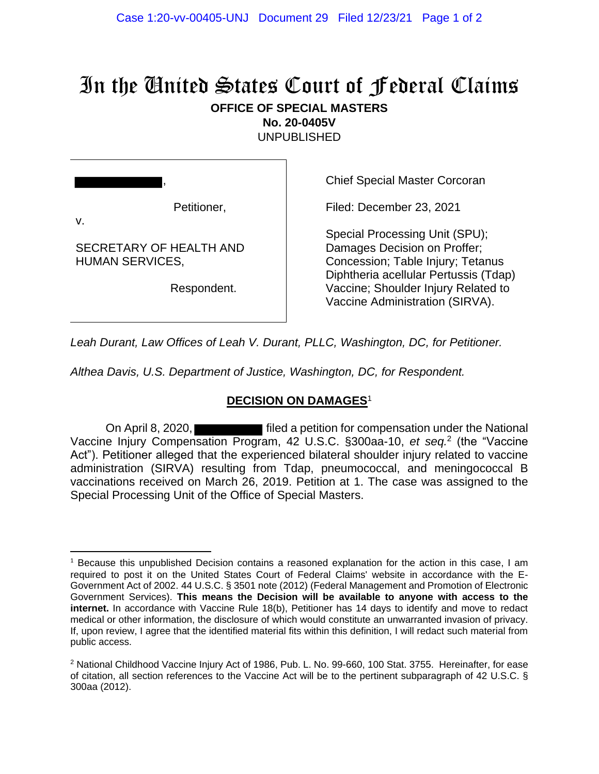## In the United States Court of Federal Claims

## **OFFICE OF SPECIAL MASTERS**

**No. 20-0405V** UNPUBLISHED

,

Petitioner,

Chief Special Master Corcoran

Filed: December 23, 2021

v.

SECRETARY OF HEALTH AND HUMAN SERVICES,

Respondent.

Special Processing Unit (SPU); Damages Decision on Proffer; Concession; Table Injury; Tetanus Diphtheria acellular Pertussis (Tdap) Vaccine; Shoulder Injury Related to Vaccine Administration (SIRVA).

*Leah Durant, Law Offices of Leah V. Durant, PLLC, Washington, DC, for Petitioner.*

*Althea Davis, U.S. Department of Justice, Washington, DC, for Respondent.*

## **DECISION ON DAMAGES**<sup>1</sup>

On April 8, 2020, **Filted a petition for compensation under the National** Vaccine Injury Compensation Program, 42 U.S.C. §300aa-10, *et seq.*<sup>2</sup> (the "Vaccine Act"). Petitioner alleged that the experienced bilateral shoulder injury related to vaccine administration (SIRVA) resulting from Tdap, pneumococcal, and meningococcal B vaccinations received on March 26, 2019. Petition at 1. The case was assigned to the Special Processing Unit of the Office of Special Masters.

<sup>1</sup> Because this unpublished Decision contains a reasoned explanation for the action in this case, I am required to post it on the United States Court of Federal Claims' website in accordance with the E-Government Act of 2002. 44 U.S.C. § 3501 note (2012) (Federal Management and Promotion of Electronic Government Services). **This means the Decision will be available to anyone with access to the internet.** In accordance with Vaccine Rule 18(b), Petitioner has 14 days to identify and move to redact medical or other information, the disclosure of which would constitute an unwarranted invasion of privacy. If, upon review, I agree that the identified material fits within this definition, I will redact such material from public access.

<sup>&</sup>lt;sup>2</sup> National Childhood Vaccine Injury Act of 1986, Pub. L. No. 99-660, 100 Stat. 3755. Hereinafter, for ease of citation, all section references to the Vaccine Act will be to the pertinent subparagraph of 42 U.S.C. § 300aa (2012).